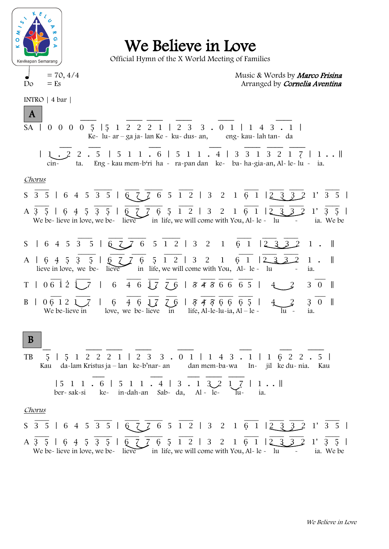

INTRO | 4 bar |

We Believe in Love

Official Hymn of the X World Meeting of Families

 $= 70, 4/4$  Music & Words by *Marco Frisina*  $D\circ$  = Es  $\circ$  Arranged by Cornelia Aventina

<u>\_\_\_\_</u> \_\_\_ \_\_\_ \_\_\_ \_\_\_ \_\_\_ \_\_ SA@|@0@0@0@0@5<@| 5<@1@2@2@2@1@|@2@3@ 3@.@0@1@|@1@4@3@.@1@| 5 Ke- lu- ar – ga ja- lan Ke - ku- dus- an, eng- kau- lah tan- da  $\overline{\phantom{a}}$  . The contraction of the contraction of  $\overline{\phantom{a}}$  . The contraction of  $\overline{\phantom{a}}$ SA@|@1@.@2@2@.@5 @|@5@1@1@.@6@|@5@1@1@.@4@|@3@3@1@3@2@1@7<@|@1 . . || cin- ta. Eng - kau mem-b'ri ha - ra-pan dan ke- ba- ha-gia-an, Al- le- lu - ia. Chorus \_\_\_\_ \_\_\_\_\_ \_\_\_\_ \_\_\_\_\_ \_\_\_\_ \_\_\_\_ \_\_\_\_ \_\_\_\_ \_\_\_\_ S@3@5@|@6@4@5@3@5@|@6@7@7@6@5@1@2@|@3@ 2@ 1@6<@1@| 2@3@3@2@1'@3@5@|  $\frac{1}{2}$  ,  $\frac{1}{2}$  ,  $\frac{1}{2}$  ,  $\frac{1}{2}$  ,  $\frac{1}{2}$  ,  $\frac{1}{2}$  ,  $\frac{1}{2}$  ,  $\frac{1}{2}$  ,  $\frac{1}{2}$ A 3 5 | 6 4 5 3 5 | 6 7 7 6 5 1 2 | 3 2 1 6 1 | 2 3 3 2 1 3 5 | We be- lieve in love, we be- lieve in life, we will come with You, Al- le - lu - ia. We be  $\mathcal{L} = \mathcal{L} = \mathcal{L} = \mathcal{L} = \mathcal{L} = \mathcal{L} = \mathcal{L} = \mathcal{L} = \mathcal{L} = \mathcal{L} = \mathcal{L} = \mathcal{L} = \mathcal{L} = \mathcal{L} = \mathcal{L} = \mathcal{L} = \mathcal{L} = \mathcal{L} = \mathcal{L} = \mathcal{L} = \mathcal{L} = \mathcal{L} = \mathcal{L} = \mathcal{L} = \mathcal{L} = \mathcal{L} = \mathcal{L} = \mathcal{L} = \mathcal{L} = \mathcal{L} = \mathcal{L} = \mathcal$  $S$  | 6 4 5 3 5 | 6 7 7 6 5 1 2 | 3 2 1 6 1 | 2 3 3 2 1 . ||  $\frac{1}{2}$  ,  $\frac{1}{2}$  ,  $\frac{1}{2}$  ,  $\frac{1}{2}$  ,  $\frac{1}{2}$  ,  $\frac{1}{2}$  ,  $\frac{1}{2}$  ,  $\frac{1}{2}$  ,  $\frac{1}{2}$  ,  $\frac{1}{2}$ A | 6 4 5 3 5 | 6 7 7 6 5 1 2 | 3 2 1 6 1 | 2 3 3 2 1 . | lieve in love, we be- lieve in life, we will come with You, Al- le - lu - ia.  $\bot$  ,  $\bot$  ,  $\bot$  ,  $\bot$  ,  $\bot$  ,  $\bot$  ,  $\bot$  ,  $\bot$  ,  $\bot$ T | 0 6 1 2 1 \_7 | \_6 \_4 \_6 1 7 7 6 | 8 4 3 6 6 6 5 | \_4 \_ 2 \_ 3 0 |  $\bot$  ,  $\bot$  ,  $\bot$  ,  $\bot$  ,  $\bot$  ,  $\bot$  ,  $\bot$  ,  $\bot$  ,  $\bot$ B | 0 6 1 2 1 \_ 7 \_ | \_ 6 \_ 4 \_ 6 \_ 1 7 \_ 7 \_ 6 \_ 5 \_ 4 \_ 5 \_ 6 \_ 6 \_ 5 \_ 1 \_ 4 \_ \_ 2\_ \_ 3 \_ 0 \_ | We be-lieve in love, we be-lieve in life, Al-le-lu-ia, Al – le -@@@\_\_ \_\_\_\_ \_\_\_\_ \_\_\_\_ \_\_\_\_ \_\_\_@ \_\_\_ \_\_\_\_ TB@@5<@|@5<@1@2@2@2@1@|@2@3@ 3@.@0@1@|@1@4@3@.@1@|@1@6<@2@2@.@5@| Kau da-lam Kristus ja – lan ke-b'nar- an dan mem-ba-wa In- jil ke du- nia. Kau @@@@@ \_\_\_@@@@@@@ \_\_\_@@@@\_\_\_@\_\_\_\_ \_\_\_\_@  $| 5 1 1 6 | 5 1 1 1 4 | 3 1 3 2 1 7 | 1 1 |$  ber- sak-si ke- in-dah-an Sab- da, Al - le- lu- ia. Chorus \_\_\_\_ \_\_\_\_\_ \_\_\_\_ \_\_\_\_\_ \_\_\_\_ \_\_\_\_ \_\_\_\_ \_\_\_\_ \_\_\_\_ S@3@5@|@6@4@5@3@5@|@6@7@7@6@5@1@2@|@3@ 2@ 1@6<@1@| 2@3@3@2@1'@3@5@|  $\frac{1}{2}$  ,  $\frac{1}{2}$  ,  $\frac{1}{2}$  ,  $\frac{1}{2}$  ,  $\frac{1}{2}$  ,  $\frac{1}{2}$  ,  $\frac{1}{2}$  ,  $\frac{1}{2}$  ,  $\frac{1}{2}$  ,  $\frac{1}{2}$ A 3 5 | 6 4 5 3 5 | 6 7 7 6 5 1 2 | 3 2 1 6 1 |2 3 3 2 1' 3 5 | We be- lieve in love, we be- lieve in life, we will come with You, Al- le - lu - ia. We be A B 5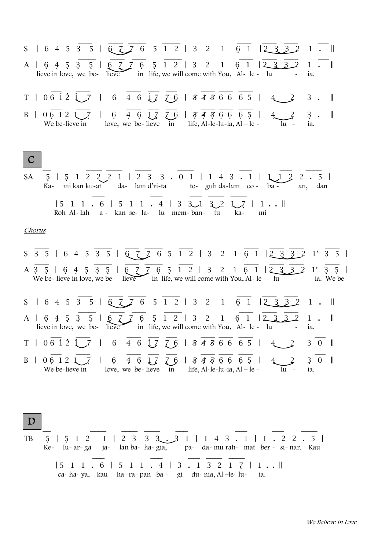S 1 6 4 5 3 5 | 
$$
\frac{1}{6\sqrt{2}}\sqrt{6}
$$
 5 1 2 | 3 2 1 6 1 |  $\frac{1}{2\sqrt{3}}\sqrt{2}$  1 ...  
\nA | 6 4 5 3 5 |  $\frac{1}{2\sqrt{2}}\sqrt{6}$  5 1 2 | 3 2 1 6 1 |  $\frac{1}{2\sqrt{3}}\sqrt{2}$  1 ...  
\nT | 0 6 1 2 1/1 6 4 6 1/7 1/8, we will come with You, Al-le-  
\nH  
\nB | 0 6 1 2 1/1 1 6 4 6 1/7 1/8 4/8 6 6 6 5 | 4/2 3 1  
\nB | 0 6 1 2 1/1 1 6 4 6 1/7 1/8 4/8 6 6 6 5 | 4/2 3 1  
\nB | 0 6 1 2 1/1 1 6 4 6 1/7 1/8 4/8 6 6 6 5 | 4/2 3 1  
\nWe be-lieve in love, we be-lieve in life, Al-le-lu-a, Al-le-  
\nWe be-lieve in love, we be-lieve in life, Al-le-lu-a, Al-le-  
\nA 1.4 - mi kan ku-  
\nI 5 1 1. 6 | 5 1 1. 4 | 3 3/1 3/2 1/1 1.1  
\nRoh Al-lah a - kan se-la - lu mem-ban- tu ka- mi  
\nI 5 1 1. 6 | 5 1 1. 4 | 3 3/1 3/2 1/1 1.1  
\nRoh Al-lah a - kan se-la - lu mem-ban- tu ka- mi  
\nI 6 1 1 2 3 2 1 7 1. 1  
\nA 3 5 | 6 4 5 3 5 | 6 7 7 6 5 1 2 | 3 2 1 6 1 | 2 3 2 1 7 3 5 |  
\nWe be-lieve in love, we be-lieve in life, we will come with You, Al-le- tu -  
\nS | 6 4 5 3 5 | 6 7 7 6 5 1 2 | 3 2 1 6 1 | 2 3 3 2 1 7 3 5 |  
\nWe be-lieve in love, we be-lieve in life, we will come with You, Al-le-

D

| TB $5 \mid 5 \mid 2 \mid 1 \mid 2 \mid 3 \mid 3 \mid 3 \mid 1 \mid 1 \mid 4 \mid 3 \mid 1 \mid 1 \mid 2 \mid 2 \mid 5 \mid$ |  |
|-----------------------------------------------------------------------------------------------------------------------------|--|
| Ke- lu-ar-ga ja- lan ba-ha-gia, pa- da-mu rah- mat ber - si-nar. Kau                                                        |  |
| $ 5\ 1\ 1\ 6\ 5\ 1\ 1\ 4\ 3\ 1\ 3\ 2\ 1\ 7\ 1\ 1\ $<br>ca ha ya, kau ha ra pan ba - gi du nia, Al-le lu ia.                 |  |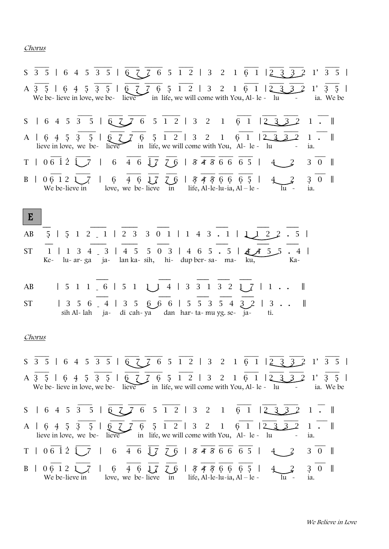## Chorus

| $S$ $\overline{3}$ $\overline{5}$   6 4 5 $\overline{3}$ 5   $\overline{6}$ $\overline{7}$ $\overline{7}$ 6 5 $\overline{1}$ $\overline{2}$   3 2 1 $\overline{6}$ 1   $\overline{2}$ $\overline{3}$ $\overline{3}$ $\overline{2}$ 1' $\overline{3}$ $\overline{5}$         |
|-----------------------------------------------------------------------------------------------------------------------------------------------------------------------------------------------------------------------------------------------------------------------------|
| 6 7 7 6 5 1 2   3 2 1 6 1   2 3<br>A 3 5   6 4 5 3 5  <br>$1^{\prime}$<br>3<br>$\mathcal{L}$<br>We be-lieve in love, we be-lieve in life, we will come with You, Al-le - lu<br>ia. We be<br>$\sim$ $ -$                                                                     |
| 6 5 1 2   3 2 1 6 1<br>$S$   6 4 5 3 5   6 $Z$ 7<br>$\begin{array}{ccc} \n\boxed{2} & \boxed{3} \\ \end{array}$<br>$\overline{2}$<br>$1 \cdot \mathbb{I}$                                                                                                                   |
| $6$ $7$ $7$ $6$<br>$5 \t1 \t2 \t3 \t2$<br>$\overline{2}$<br>5 <sub>1</sub><br>$\sqrt{2}$<br>$\mathbf{1}$<br>$A \begin{bmatrix} 6 & 4 & 5 & 3 \end{bmatrix}$<br>6<br>$\mathbf{1}$<br>1.<br>lieve in love, we be- lieve in life, we will come with You, $Al - le - lu$<br>ia. |
| $T   06 i 2 j 7   6 4 6 j 7 7 6   8 4 8 6 6 6 5  $<br>$\overline{2}$<br>3 0   <br>4                                                                                                                                                                                         |
| $76$   $5456665$  <br>$6\overline{6}$<br>$4\overline{6}$<br>3<br>$\overline{0}$<br>$\blacksquare$<br>06 12 1<br>17<br>$\mathbf{B}$  <br>We be-lieve in love, we be-lieve in life, $Al$ -le-lu-ia, $Al$ - le -<br>ia.<br>lu ~                                                |
| $\mid$ E                                                                                                                                                                                                                                                                    |
| $5   5 1 2 1   2 3 3 0 1   1 4 3 1   1 1 2 2$<br>AB<br>.5 <sub>1</sub>                                                                                                                                                                                                      |
| <b>ST</b><br>$\begin{array}{ccc} \hline 4 & 5 \end{array}$<br>$503$   4 6 5 . 5   4 4 5 5<br>3<br>1 3<br>4<br>Ke- lu-ar-ga ja- lan ka-sih, hi- dup ber-sa- ma- ku,<br>Ka-                                                                                                   |
| $1 5 1 1 6 1 5 1 1 1 4 3 3 1 3 2 1 7$<br>AB<br>1<br>$\mathbb{R}$                                                                                                                                                                                                            |
| $  3\; 5\; 6 \; 4 \;   3\; 5 \; 6 \; 6 \; 6 \;  $<br><b>ST</b><br>5 5 3 5 4<br>3<br>$\parallel$<br>sih Al-lah ja- di cah-ya dan har-ta-muyg. se- ja-<br>tı.                                                                                                                 |
| <u>Chorus</u>                                                                                                                                                                                                                                                               |
| $S\overline{3\overline{5}}$   6 4 5 $\overline{3\overline{5}}$   $\overline{6}$ $\overline{2}$ $\overline{7}$ 6 5 $\overline{1\overline{2}}$   3 2 1 $\overline{6}$ 1   $\overline{2\overline{3}}$ $\overline{3}$ 2 1' 3 5                                                  |
| A 3 5   6 4 5 3 5   6 7 7 6 5 1 2   3 2 1 6 1   2 3 3 2<br>1'<br>$3\quad 5\quad$<br>We be-lieve in love, we be-lieve in life, we will come with You, Al-le - lu<br>ia. We be                                                                                                |
| S   6 4 5 3 5   6 7 7 6 5 1 2   3 2 1 6 1<br>1233<br>$1 \cdot \mathbb{I}$                                                                                                                                                                                                   |
| $5 \t1 \t2 \t3 \t2$<br>$A \, \, 6 \,4 \,5$<br>$6^{\circ}$<br>$\overline{1}$<br>$\mathbf{3}$<br>5 <sub>2</sub><br>$1\,$<br>$1$ .<br>6<br>2<br>6<br>in life, we will come with You, Al- le - lu<br>lieve in love, we be- lieve<br>ia.                                         |
| $T \mid 06 \; \dot{1} \; \dot{2} \; \dot{1}$<br>$6\quad 4\quad 6\quad \frac{1}{2}$<br>  8456665  <br>$3 \quad 0 \quad \parallel$<br>76                                                                                                                                      |
| $3 \quad 0 \quad   $<br>$\mathbf{B}$  <br>6<br>4 6<br>76   8486665  <br>06121<br>17<br>life, Al-le-lu-ia, Al – le -<br>We be-lieve in<br>love, we be-lieve<br>in<br>lu -<br>ia.                                                                                             |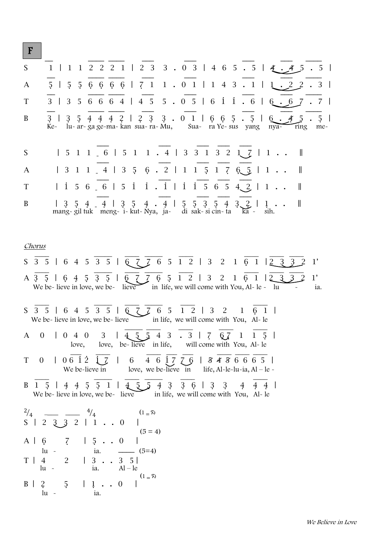F

 $\ln$  -  $\frac{1}{2}$  ia.

| S                 | $1$   1 1 2 2 2 1   2 3 3 . 0 3   4 6 5 . 5   4 . 4 5<br>5 <sup>5</sup>                                                                                                      |
|-------------------|------------------------------------------------------------------------------------------------------------------------------------------------------------------------------|
| A                 | $5$   $5$ 5 6 6 6 6 6   7 1 1 . 0 1   1 4 3 . 1   1 . 2 2<br>$3 \mid$                                                                                                        |
| T                 | $3$   3 5 6 6 6 4   4 5 5 . 0 5   6 1 1 . 6   6 .<br>7  <br>6 7                                                                                                              |
| B                 | $3\ 5\ 4\ 4\ 4\ 2\ 1\ 2\ 3\ 3\ 0\ 1\ 1\ 6\ 6\ 5\ 0\ 5\ 1\ 6\ 0\ 1$<br>$3 \mid$<br>5 <sub>1</sub><br>Ke- lu-ar-ga ge-ma-kan sua-ra-Mu, Sua-ra Ye-sus yang nya-<br>ring<br>me- |
| S                 | $1\ 5\ 1\ 1\ 1\ 6\ 1\ 5\ 1\ 1\ 1\ 4\ 1\ 3\ 3\ 1\ 3\ 2\ 1\ 7\ 1\ 1\ 1$<br>$\blacksquare$                                                                                      |
| A                 | $  3 1 1 1 4   3 5 6 1 1 1 5 1 7 6 5   1 1 1$<br>$\mathbb{I}$                                                                                                                |
| T                 | $  1 5 6 6   5 1 1 1   1 1 5 6 5 4 2   1 1 1$<br>$\parallel$                                                                                                                 |
| B                 | $\mathbb{I}$<br>sih.                                                                                                                                                         |
|                   | <u>Chorus</u>                                                                                                                                                                |
|                   | S 3 5   6 4 5 3 5   6 7 7 6 5 1 2   3 2 1 6 1   2 3 3 2<br>$\mathbf{1}^{\prime}$                                                                                             |
|                   | A 3 5   6 4 5 3 5   6 7 7 6 5 1 2   3 2 1 6 1   2 3 3<br>1'<br>We be-lieve in love, we be-lieve in life, we will come with You, Al-le - $\overline{\text{lu}}$<br>ia.        |
|                   | S 3 5   6 4 5 3 5   6 7 7 6 5 1 2   3 2 1 6 1  <br>We be-lieve in love, we be-lieve $\overline{\phantom{0}}$ in life, we will come with You, Al-le                           |
|                   | $1 \leq \frac{1}{2} \leq 4 \leq 3 \leq 3 \leq 7 \leq \frac{1}{2} \leq 1 \leq 5$<br>A 0   0 4 0 3<br>love, love, be-lieve in life, will come with You, Al-le                  |
| T                 | 0 0 0612 1 7 0 4 6 1 7 7 6 0 7 8 4 7 6 6 6 5 1<br>We be-lieve in love, we be-lieve in life, Al-le-lu-ia, Al – le -                                                           |
|                   | B 1 5   4 4 5 5 1   4 5 5 4 3 3 6   3 3 4 4 4  <br>We be-lieve in love, we be-lieve in life, we will come with You, Al-le                                                    |
| $^{2}/_{4}$<br>S. | $(1 = \infty)$<br>$^{4}/_{4}$<br>$2$ $3$ $3$ $2$ $1$ $1$ $1$ $0$<br>$(5 = 4)$                                                                                                |
|                   | $\vert 5 \cdot . \cdot 0$<br>$\overline{z}$<br>$A \mid 6$                                                                                                                    |
|                   | $\ln$ $\sim$<br>$-  (5=4)$<br>ia.<br>T   4 2<br>$3 \quad 5 \mid$<br>$\vert 3 \cdot \cdot \cdot \vert$<br>ia.<br>$\ln$ -<br>$Al - le$                                         |
|                   | $(1 = \overline{x})$<br>$B \mid$<br>2<br>5 <sup>5</sup>                                                                                                                      |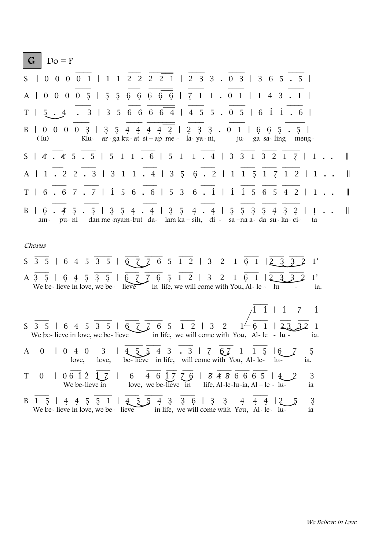|              | G              | $Do = F$             |  |                              |  |         |                                                                                                                                                                                                                                 |                                              |             |                |                |                |   |                                                 |   |            |            |            |         |     |                      |  |                |
|--------------|----------------|----------------------|--|------------------------------|--|---------|---------------------------------------------------------------------------------------------------------------------------------------------------------------------------------------------------------------------------------|----------------------------------------------|-------------|----------------|----------------|----------------|---|-------------------------------------------------|---|------------|------------|------------|---------|-----|----------------------|--|----------------|
|              |                |                      |  |                              |  |         | S   0 0 0 0 1   1 1 2 2 2 2 1   2 3 3 . 0 3   3 6 5 . 5                                                                                                                                                                         |                                              |             |                |                |                |   |                                                 |   |            |            |            |         |     |                      |  |                |
|              |                |                      |  |                              |  |         | A   0 0 0 0 5   5 5 6 6 6 6 6 6   7 1 1 . 0 1   1 4 3 . 1                                                                                                                                                                       |                                              |             |                |                |                |   |                                                 |   |            |            |            |         |     |                      |  |                |
|              |                |                      |  |                              |  |         | T   5 . 4 . 3   3 5 6 6 6 6 4   4 5 5 . 0 5   6 1 1 . 6                                                                                                                                                                         |                                              |             |                |                |                |   |                                                 |   |            |            |            |         |     |                      |  |                |
|              |                | $\left( \ln \right)$ |  |                              |  |         | B   0 0 0 0 3   3 5 4 4 4 4 2   2 3 3 . 0 1   6 6 5 . 5  <br>Klu- ar-ga ku-at si - ap me - la-ya-ni, ju-ga sa-ling meng-                                                                                                        |                                              |             |                |                |                |   |                                                 |   |            |            |            |         |     |                      |  |                |
|              |                |                      |  |                              |  |         | $S$   4   4 5   5   5   1   6   5   1   4   3 3   3 2   7   1   .                                                                                                                                                               |                                              |             |                |                |                |   |                                                 |   |            |            |            |         |     |                      |  | $\blacksquare$ |
|              |                |                      |  |                              |  |         | A   1 . 2 2 . 3   3 1 1 . 4   3 5 6 . 2   1 1 5 1 7 1 2   1                                                                                                                                                                     |                                              |             |                |                |                |   |                                                 |   |            |            |            |         |     |                      |  | $\mathbb{R}$   |
|              |                |                      |  |                              |  |         | T   6 . 6 7 . 7   1 5 6 . 6   5 3 6 . 1   1 1 5 6 5 4 2   1                                                                                                                                                                     |                                              |             |                |                |                |   |                                                 |   |            |            |            |         |     |                      |  | $\parallel$    |
|              |                |                      |  |                              |  |         | B   6   4 5   5   3 5 4   4   3 5 4   4   5 5 3 5 4 3 2   1  <br>am- pu-ni dan me-nyam-but da- lam ka - sih, di - sa -na a- da su- ka- ci- ta                                                                                   |                                              |             |                |                |                |   |                                                 |   |            |            |            |         |     |                      |  | $\mathbb{I}$   |
|              | Chorus         |                      |  |                              |  |         |                                                                                                                                                                                                                                 |                                              |             |                |                |                |   |                                                 |   |            |            |            |         |     |                      |  |                |
|              |                |                      |  |                              |  |         | $S\overline{3\overline{5}}$   6 4 5 $\overline{3\overline{5}}$   $\overline{6}$ $\overline{2}$ $\overline{7}$ 6 5 $\overline{1\overline{2}}$   3 2 1 $\overline{6}$ 1   $\overline{2\overline{3}}$ $\overline{3\overline{2}}$ 2 |                                              |             |                |                |                |   |                                                 |   |            |            |            |         |     | 1'                   |  |                |
|              |                |                      |  |                              |  |         | A 3 5   6 4 5 3 5   6 7 7 6 5 1 2   3 2 1 6 1   2 3 3 2<br>We be-lieve in love, we be-lieve in life, we will come with You, Al- le - lu                                                                                         |                                              |             |                |                |                |   |                                                 |   |            |            |            |         |     | $1^{\prime}$<br>ia.  |  |                |
|              |                |                      |  |                              |  |         |                                                                                                                                                                                                                                 |                                              |             |                |                |                |   |                                                 |   |            |            |            |         |     | $\mathbf{i}$         |  |                |
|              |                |                      |  |                              |  |         | S 3 5   6 4 5 3 5   6 7 7 6 5 1 2   3 2<br>We be-lieve in love, we be-lieve in life, we will come with You, Al-le - lu -                                                                                                        |                                              |             |                |                |                |   |                                                 |   |            |            |            |         |     | ia.                  |  |                |
| $\mathbf{A}$ |                |                      |  | $0$   0 4 0 3  <br>love,     |  | love,   |                                                                                                                                                                                                                                 | be-lieve in life, will come with You, Al-le- |             |                |                |                |   | 43.3   767                                      |   |            | $1\quad 5$ | $\sqrt{6}$ | $\mu$ - | ia. | ָכ                   |  |                |
| T            | $\overline{0}$ |                      |  | $06\,$ i 2<br>We be-lieve in |  |         | 6                                                                                                                                                                                                                               | love, we be-lieve in                         | 4 6 1 7 7 6 |                |                |                |   | 8486665<br>life, Al-le-lu-ia, Al – le - lu-     |   |            |            |            |         |     | 3<br>1a              |  |                |
| B            |                | 5                    |  | $4\;\; 4\;\; 5\;\; 5$        |  | $\perp$ | We be-lieve in love, we be-lieve                                                                                                                                                                                                | $4\overline{5}5$                             |             | $\overline{4}$ | $\overline{3}$ | $\mathfrak{Z}$ | 6 | 3<br>in life, we will come with You, Al-le- lu- | 3 | $\ddagger$ | 4          |            |         |     | $\mathfrak{Z}$<br>1a |  |                |